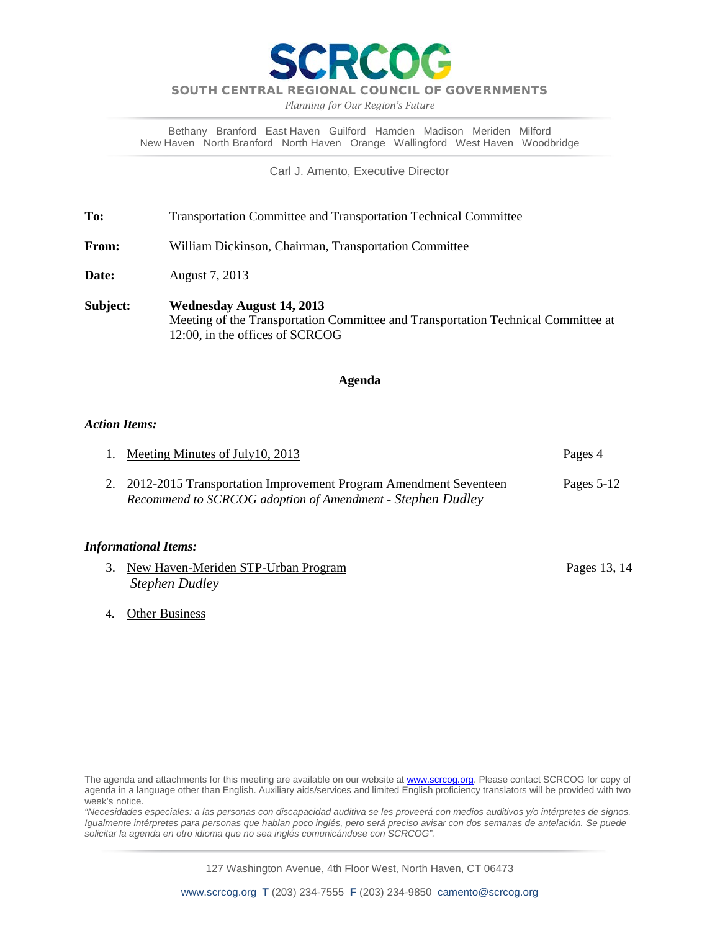

*Planning for Our Region's Future*

Bethany Branford East Haven Guilford Hamden Madison Meriden Milford New Haven North Branford North Haven Orange Wallingford West Haven Woodbridge

Carl J. Amento, Executive Director

**To:** Transportation Committee and Transportation Technical Committee

**From:** William Dickinson, Chairman, Transportation Committee

**Date:** August 7, 2013

**Subject: Wednesday August 14, 2013** Meeting of the Transportation Committee and Transportation Technical Committee at 12:00, in the offices of SCRCOG

### **Agenda**

### *Action Items:*

| 1. Meeting Minutes of July 10, 2013                                 | Pages 4    |
|---------------------------------------------------------------------|------------|
| 2. 2012-2015 Transportation Improvement Program Amendment Seventeen | Pages 5-12 |
| Recommend to SCRCOG adoption of Amendment - Stephen Dudley          |            |

### *Informational Items:*

- 3. New Haven-Meriden STP-Urban Program Pages 13, 14 *Stephen Dudley*
- 4. Other Business

*"Necesidades especiales: a las personas con discapacidad auditiva se les proveerá con medios auditivos y/o intérpretes de signos. Igualmente intérpretes para personas que hablan poco inglés, pero será preciso avisar con dos semanas de antelación. Se puede solicitar la agenda en otro idioma que no sea inglés comunicándose con SCRCOG".*

127 Washington Avenue, 4th Floor West, North Haven, CT 06473

The agenda and attachments for this meeting are available on our website at **www.scrcog.org**. Please contact SCRCOG for copy of agenda in a language other than English. Auxiliary aids/services and limited English proficiency translators will be provided with two week's notice.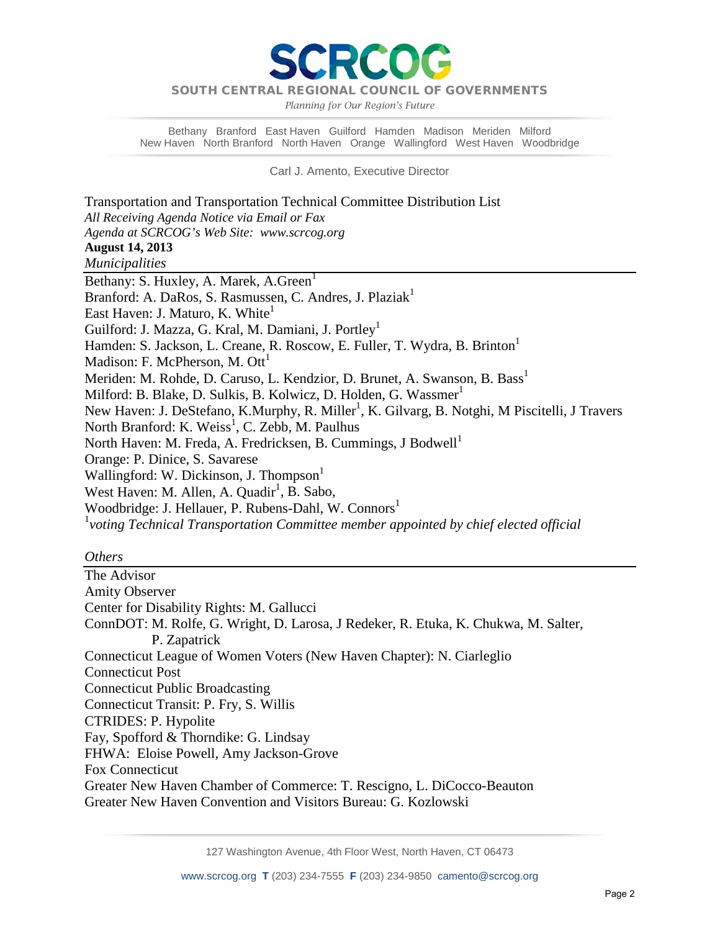PCC

*Planning for Our Region's Future*

Bethany Branford East Haven Guilford Hamden Madison Meriden Milford New Haven North Branford North Haven Orange Wallingford West Haven Woodbridge

Carl J. Amento, Executive Director

Transportation and Transportation Technical Committee Distribution List *All Receiving Agenda Notice via Email or Fax Agenda at SCRCOG's Web Site: www.scrcog.org*  **August 14, 2013** *Municipalities*  Bethany: S. Huxley, A. Marek, A. Green<sup>1</sup> Branford: A. DaRos, S. Rasmussen, C. Andres, J. Plaziak<sup>1</sup> East Haven: J. Maturo, K. White<sup>1</sup> Guilford: J. Mazza, G. Kral, M. Damiani, J. Portley<sup>1</sup> Hamden: S. Jackson, L. Creane, R. Roscow, E. Fuller, T. Wydra, B. Brinton<sup>1</sup> Madison: F. McPherson, M.  $\text{Ott}^1$ Meriden: M. Rohde, D. Caruso, L. Kendzior, D. Brunet, A. Swanson, B. Bass<sup>1</sup> Milford: B. Blake, D. Sulkis, B. Kolwicz, D. Holden, G. Wassmer<sup>1</sup> New Haven: J. DeStefano, K.Murphy, R. Miller<sup>1</sup>, K. Gilvarg, B. Notghi, M Piscitelli, J Travers North Branford: K. Weiss<sup>1</sup>, C. Zebb, M. Paulhus North Haven: M. Freda, A. Fredricksen, B. Cummings, J Bodwell<sup>1</sup> Orange: P. Dinice, S. Savarese Wallingford: W. Dickinson, J. Thompson<sup>1</sup> West Haven: M. Allen, A. Quadir<sup>1</sup>, B. Sabo, Woodbridge: J. Hellauer, P. Rubens-Dahl, W. Connors<sup>1</sup> 1 *voting Technical Transportation Committee member appointed by chief elected official*

### *Others*

The Advisor Amity Observer Center for Disability Rights: M. Gallucci ConnDOT: M. Rolfe, G. Wright, D. Larosa, J Redeker, R. Etuka, K. Chukwa, M. Salter, P. Zapatrick Connecticut League of Women Voters (New Haven Chapter): N. Ciarleglio Connecticut Post Connecticut Public Broadcasting Connecticut Transit: P. Fry, S. Willis CTRIDES: P. Hypolite Fay, Spofford & Thorndike: G. Lindsay FHWA: Eloise Powell, Amy Jackson-Grove Fox Connecticut Greater New Haven Chamber of Commerce: T. Rescigno, L. DiCocco-Beauton Greater New Haven Convention and Visitors Bureau: G. Kozlowski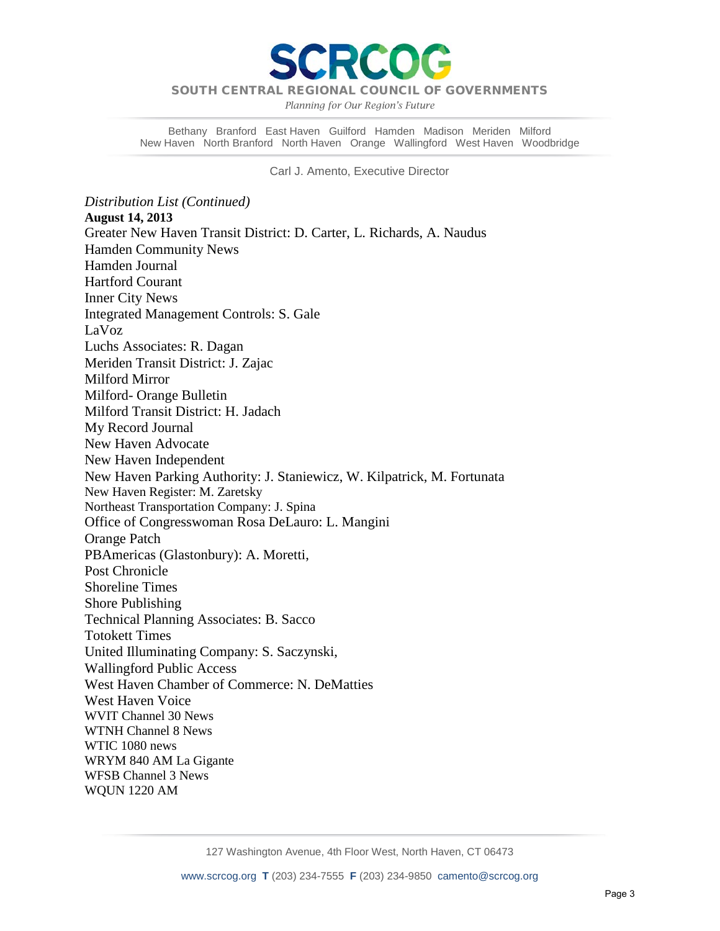

*Planning for Our Region's Future*

Bethany Branford East Haven Guilford Hamden Madison Meriden Milford New Haven North Branford North Haven Orange Wallingford West Haven Woodbridge

Carl J. Amento, Executive Director

*Distribution List (Continued)* **August 14, 2013** Greater New Haven Transit District: D. Carter, L. Richards, A. Naudus Hamden Community News Hamden Journal Hartford Courant Inner City News Integrated Management Controls: S. Gale LaVoz Luchs Associates: R. Dagan Meriden Transit District: J. Zajac Milford Mirror Milford- Orange Bulletin Milford Transit District: H. Jadach My Record Journal New Haven Advocate New Haven Independent New Haven Parking Authority: J. Staniewicz, W. Kilpatrick, M. Fortunata New Haven Register: M. Zaretsky Northeast Transportation Company: J. Spina Office of Congresswoman Rosa DeLauro: L. Mangini Orange Patch PBAmericas (Glastonbury): A. Moretti, Post Chronicle Shoreline Times Shore Publishing Technical Planning Associates: B. Sacco Totokett Times United Illuminating Company: S. Saczynski, Wallingford Public Access West Haven Chamber of Commerce: N. DeMatties West Haven Voice WVIT Channel 30 News WTNH Channel 8 News WTIC 1080 news WRYM 840 AM La Gigante WFSB Channel 3 News WQUN 1220 AM

127 Washington Avenue, 4th Floor West, North Haven, CT 06473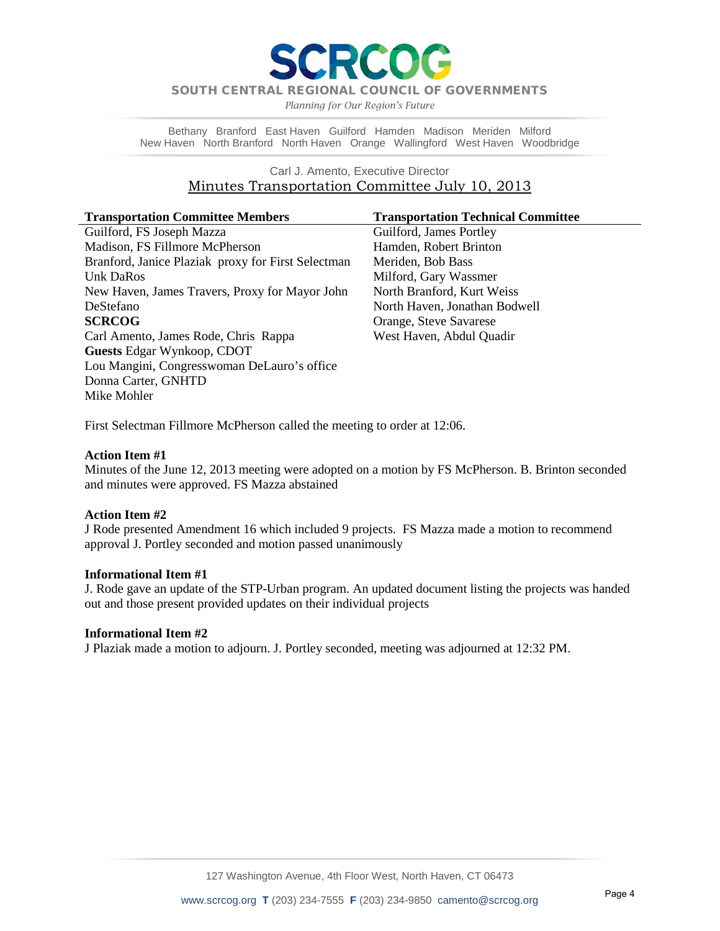RCO

*Planning for Our Region's Future*

Bethany Branford East Haven Guilford Hamden Madison Meriden Milford New Haven North Branford North Haven Orange Wallingford West Haven Woodbridge

### Carl J. Amento, Executive Director Minutes Transportation Committee July 10, 2013

| <b>Transportation Committee Members</b>            | <b>Transportation Technical Committee</b> |
|----------------------------------------------------|-------------------------------------------|
| Guilford, FS Joseph Mazza                          | Guilford, James Portley                   |
| Madison, FS Fillmore McPherson                     | Hamden, Robert Brinton                    |
| Branford, Janice Plaziak proxy for First Selectman | Meriden, Bob Bass                         |
| Unk DaRos                                          | Milford, Gary Wassmer                     |
| New Haven, James Travers, Proxy for Mayor John     | North Branford, Kurt Weiss                |
| DeStefano                                          | North Haven, Jonathan Bodwell             |
| <b>SCRCOG</b>                                      | Orange, Steve Savarese                    |
| Carl Amento, James Rode, Chris Rappa               | West Haven, Abdul Quadir                  |
| <b>Guests Edgar Wynkoop, CDOT</b>                  |                                           |
| Lou Mangini, Congresswoman DeLauro's office        |                                           |
| Donna Carter, GNHTD                                |                                           |
| Mike Mohler                                        |                                           |

First Selectman Fillmore McPherson called the meeting to order at 12:06.

### **Action Item #1**

Minutes of the June 12, 2013 meeting were adopted on a motion by FS McPherson. B. Brinton seconded and minutes were approved. FS Mazza abstained

### **Action Item #2**

J Rode presented Amendment 16 which included 9 projects.FS Mazza made a motion to recommend approval J. Portley seconded and motion passed unanimously

### **Informational Item #1**

J. Rode gave an update of the STP-Urban program. An updated document listing the projects was handed out and those present provided updates on their individual projects

### **Informational Item #2**

J Plaziak made a motion to adjourn. J. Portley seconded, meeting was adjourned at 12:32 PM.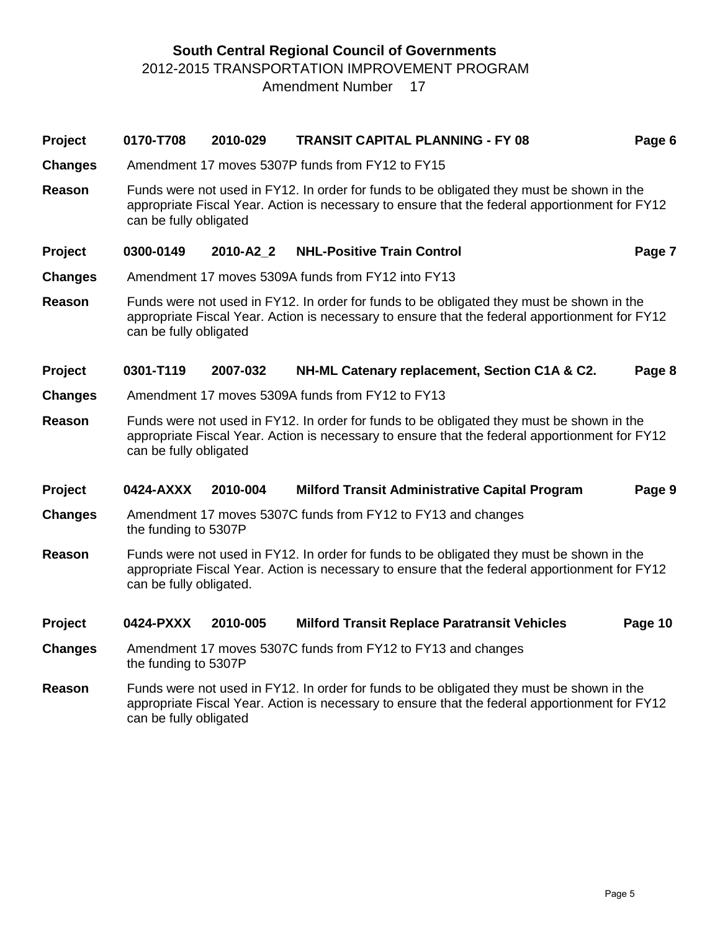# **South Central Regional Council of Governments** 2012-2015 TRANSPORTATION IMPROVEMENT PROGRAM Amendment Number 17

# **Project 0170-T708 2010-029 TRANSIT CAPITAL PLANNING - FY 08 Page 6**

- **Changes** Amendment 17 moves 5307P funds from FY12 to FY15
- **Reason** Funds were not used in FY12. In order for funds to be obligated they must be shown in the appropriate Fiscal Year. Action is necessary to ensure that the federal apportionment for FY12 can be fully obligated

## **Project 0300-0149 2010-A2\_2 NHL-Positive Train Control Page 7**

- **Changes** Amendment 17 moves 5309A funds from FY12 into FY13
- **Reason** Funds were not used in FY12. In order for funds to be obligated they must be shown in the appropriate Fiscal Year. Action is necessary to ensure that the federal apportionment for FY12 can be fully obligated

## **Project 0301-T119 2007-032 NH-ML Catenary replacement, Section C1A & C2. Page 8**

- **Changes** Amendment 17 moves 5309A funds from FY12 to FY13
- **Reason** Funds were not used in FY12. In order for funds to be obligated they must be shown in the appropriate Fiscal Year. Action is necessary to ensure that the federal apportionment for FY12 can be fully obligated

### **Project 0424-AXXX 2010-004 Milford Transit Administrative Capital Program Page 9**

- **Changes** Amendment 17 moves 5307C funds from FY12 to FY13 and changes the funding to 5307P
- **Reason** Funds were not used in FY12. In order for funds to be obligated they must be shown in the appropriate Fiscal Year. Action is necessary to ensure that the federal apportionment for FY12 can be fully obligated.

# **Project 0424-PXXX 2010-005 Milford Transit Replace Paratransit Vehicles Page 10**

- **Changes** Amendment 17 moves 5307C funds from FY12 to FY13 and changes the funding to 5307P
- **Reason** Funds were not used in FY12. In order for funds to be obligated they must be shown in the appropriate Fiscal Year. Action is necessary to ensure that the federal apportionment for FY12 can be fully obligated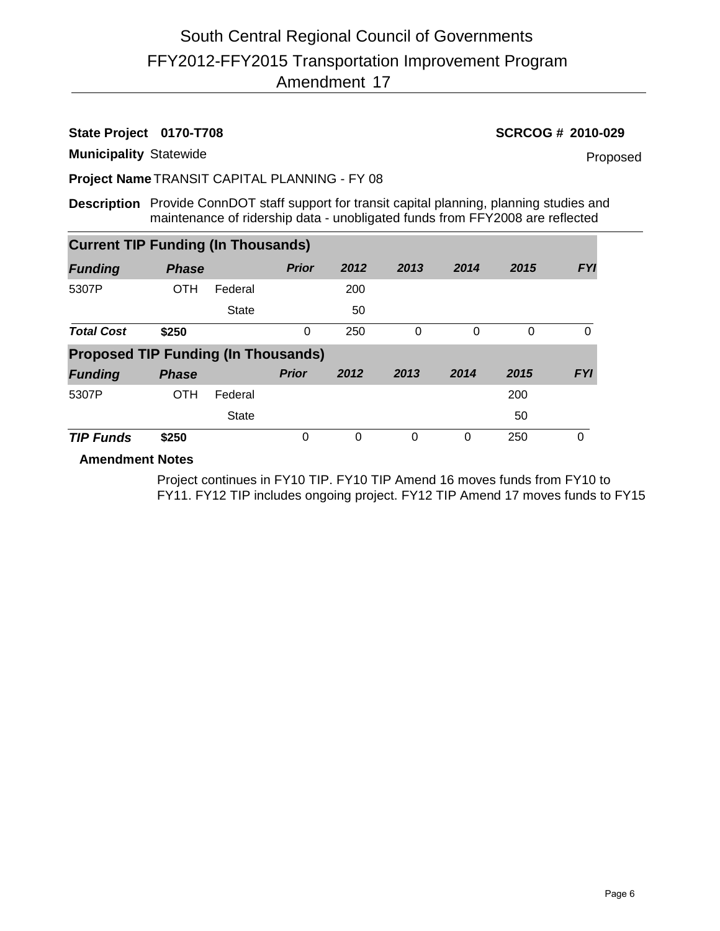**State Project 0170-T708 SCRCOG # 2010-029**

**Municipality** Statewide

Proposed

**Project Name** TRANSIT CAPITAL PLANNING - FY 08

**Description** Provide ConnDOT staff support for transit capital planning, planning studies and maintenance of ridership data - unobligated funds from FFY2008 are reflected

| <b>Current TIP Funding (In Thousands)</b>  |              |              |              |      |      |          |      |            |
|--------------------------------------------|--------------|--------------|--------------|------|------|----------|------|------------|
| <b>Funding</b>                             | <b>Phase</b> |              | <b>Prior</b> | 2012 | 2013 | 2014     | 2015 | <b>FYI</b> |
| 5307P                                      | <b>OTH</b>   | Federal      |              | 200  |      |          |      |            |
|                                            |              | <b>State</b> |              | 50   |      |          |      |            |
| <b>Total Cost</b>                          | \$250        |              | $\Omega$     | 250  | 0    | $\Omega$ | 0    | 0          |
| <b>Proposed TIP Funding (In Thousands)</b> |              |              |              |      |      |          |      |            |
| <b>Funding</b>                             | <b>Phase</b> |              | <b>Prior</b> | 2012 | 2013 | 2014     | 2015 | <b>FYI</b> |
| 5307P                                      | <b>OTH</b>   | Federal      |              |      |      |          | 200  |            |
|                                            |              | <b>State</b> |              |      |      |          | 50   |            |
| <b>TIP Funds</b>                           | \$250        |              | 0            | 0    | 0    | 0        | 250  | 0          |

**Amendment Notes**

Project continues in FY10 TIP. FY10 TIP Amend 16 moves funds from FY10 to FY11. FY12 TIP includes ongoing project. FY12 TIP Amend 17 moves funds to FY15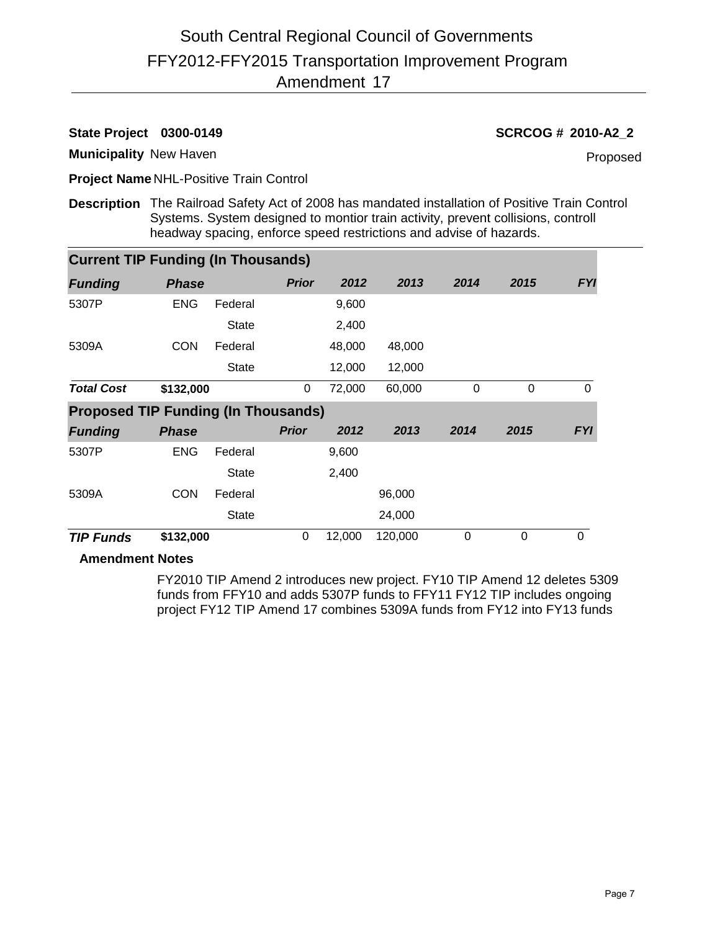# **State Project 0300-0149 SCRCOG # 2010-A2\_2**

**Municipality** New Haven

Proposed

**Project Name** NHL-Positive Train Control

**Description** The Railroad Safety Act of 2008 has mandated installation of Positive Train Control Systems. System designed to montior train activity, prevent collisions, controll headway spacing, enforce speed restrictions and advise of hazards.

| <b>Current TIP Funding (In Thousands)</b>  |              |              |              |        |         |      |      |            |
|--------------------------------------------|--------------|--------------|--------------|--------|---------|------|------|------------|
| <b>Funding</b>                             | <b>Phase</b> |              | <b>Prior</b> | 2012   | 2013    | 2014 | 2015 | <b>FYI</b> |
| 5307P                                      | <b>ENG</b>   | Federal      |              | 9,600  |         |      |      |            |
|                                            |              | <b>State</b> |              | 2,400  |         |      |      |            |
| 5309A                                      | <b>CON</b>   | Federal      |              | 48,000 | 48,000  |      |      |            |
|                                            |              | <b>State</b> |              | 12,000 | 12,000  |      |      |            |
| <b>Total Cost</b>                          | \$132,000    |              | 0            | 72,000 | 60,000  | 0    | 0    | $\Omega$   |
| <b>Proposed TIP Funding (In Thousands)</b> |              |              |              |        |         |      |      |            |
| <b>Funding</b>                             | <b>Phase</b> |              | <b>Prior</b> | 2012   | 2013    | 2014 | 2015 | <b>FYI</b> |
| 5307P                                      | <b>ENG</b>   | Federal      |              | 9,600  |         |      |      |            |
|                                            |              | <b>State</b> |              | 2,400  |         |      |      |            |
| 5309A                                      | <b>CON</b>   | Federal      |              |        | 96,000  |      |      |            |
|                                            |              | <b>State</b> |              |        | 24,000  |      |      |            |
| <b>TIP Funds</b>                           | \$132,000    |              | $\pmb{0}$    | 12,000 | 120,000 | 0    | 0    | 0          |

# **Amendment Notes**

FY2010 TIP Amend 2 introduces new project. FY10 TIP Amend 12 deletes 5309 funds from FFY10 and adds 5307P funds to FFY11 FY12 TIP includes ongoing project FY12 TIP Amend 17 combines 5309A funds from FY12 into FY13 funds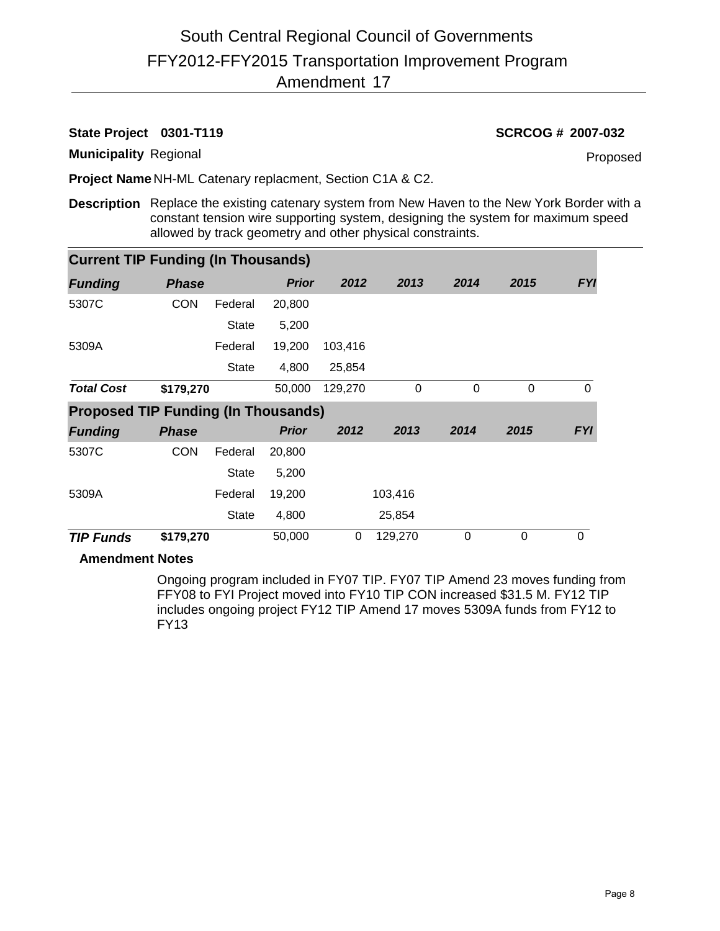# FFY2012-FFY2015 Transportation Improvement Program 17 Amendment South Central Regional Council of Governments

# **State Project 0301-T119 SCRCOG # 2007-032**

**Municipality** Regional

Proposed

**Project Name** NH-ML Catenary replacment, Section C1A & C2.

**Description** Replace the existing catenary system from New Haven to the New York Border with a constant tension wire supporting system, designing the system for maximum speed allowed by track geometry and other physical constraints.

| <b>Current TIP Funding (In Thousands)</b>  |              |              |              |         |          |             |             |            |
|--------------------------------------------|--------------|--------------|--------------|---------|----------|-------------|-------------|------------|
| <b>Funding</b>                             | <b>Phase</b> |              | <b>Prior</b> | 2012    | 2013     | 2014        | 2015        | <b>FYI</b> |
| 5307C                                      | <b>CON</b>   | Federal      | 20,800       |         |          |             |             |            |
|                                            |              | <b>State</b> | 5,200        |         |          |             |             |            |
| 5309A                                      |              | Federal      | 19,200       | 103,416 |          |             |             |            |
|                                            |              | <b>State</b> | 4,800        | 25,854  |          |             |             |            |
| <b>Total Cost</b>                          | \$179,270    |              | 50,000       | 129,270 | $\Omega$ | $\Omega$    | 0           | $\Omega$   |
| <b>Proposed TIP Funding (In Thousands)</b> |              |              |              |         |          |             |             |            |
| <b>Funding</b>                             | <b>Phase</b> |              | <b>Prior</b> | 2012    | 2013     | 2014        | 2015        | <b>FYI</b> |
| 5307C                                      | <b>CON</b>   | Federal      | 20,800       |         |          |             |             |            |
|                                            |              | <b>State</b> | 5,200        |         |          |             |             |            |
| 5309A                                      |              | Federal      | 19,200       |         | 103,416  |             |             |            |
|                                            |              | <b>State</b> | 4,800        |         | 25,854   |             |             |            |
| <b>TIP Funds</b>                           | \$179,270    |              | 50,000       | 0       | 129,270  | $\mathbf 0$ | $\mathbf 0$ | $\Omega$   |

# **Amendment Notes**

Ongoing program included in FY07 TIP. FY07 TIP Amend 23 moves funding from FFY08 to FYI Project moved into FY10 TIP CON increased \$31.5 M. FY12 TIP includes ongoing project FY12 TIP Amend 17 moves 5309A funds from FY12 to FY13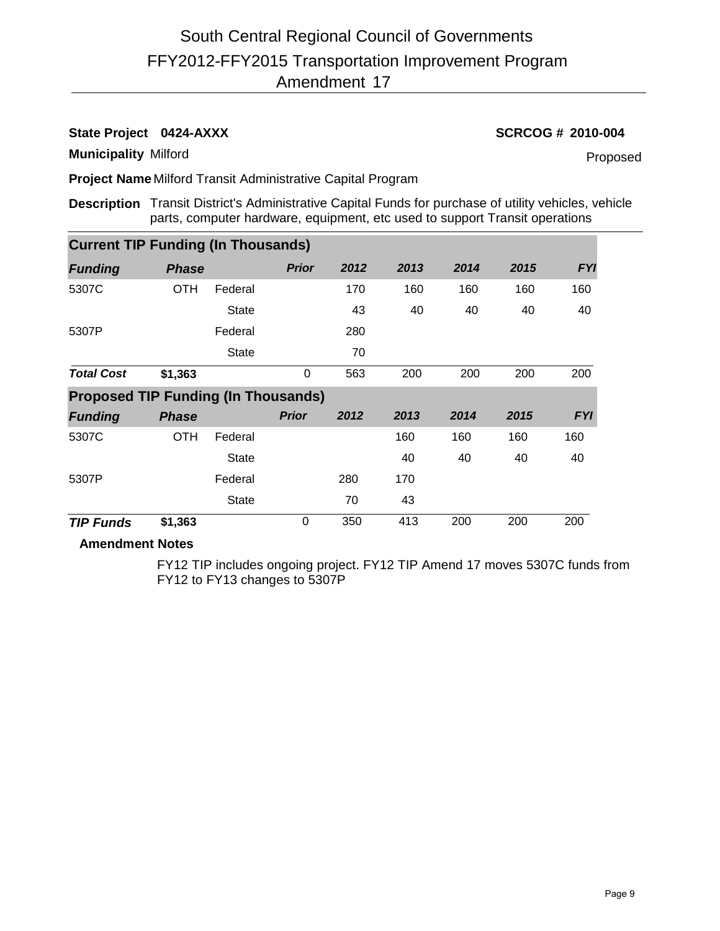# FFY2012-FFY2015 Transportation Improvement Program 17 Amendment South Central Regional Council of Governments

**State Project 0424-AXXX SCRCOG # 2010-004**

**Municipality** Milford

Proposed

**Project Name** Milford Transit Administrative Capital Program

**Description** Transit District's Administrative Capital Funds for purchase of utility vehicles, vehicle parts, computer hardware, equipment, etc used to support Transit operations

| <b>Current TIP Funding (In Thousands)</b>  |              |              |              |      |      |      |      |            |
|--------------------------------------------|--------------|--------------|--------------|------|------|------|------|------------|
| <b>Funding</b>                             | <b>Phase</b> |              | <b>Prior</b> | 2012 | 2013 | 2014 | 2015 | <b>FYI</b> |
| 5307C                                      | <b>OTH</b>   | Federal      |              | 170  | 160  | 160  | 160  | 160        |
|                                            |              | <b>State</b> |              | 43   | 40   | 40   | 40   | 40         |
| 5307P                                      |              | Federal      |              | 280  |      |      |      |            |
|                                            |              | <b>State</b> |              | 70   |      |      |      |            |
| <b>Total Cost</b>                          | \$1,363      |              | $\Omega$     | 563  | 200  | 200  | 200  | 200        |
| <b>Proposed TIP Funding (In Thousands)</b> |              |              |              |      |      |      |      |            |
| <b>Funding</b>                             | <b>Phase</b> |              | <b>Prior</b> | 2012 | 2013 | 2014 | 2015 | <b>FYI</b> |
| 5307C                                      | <b>OTH</b>   | Federal      |              |      | 160  | 160  | 160  | 160        |
|                                            |              | <b>State</b> |              |      | 40   | 40   | 40   | 40         |
| 5307P                                      |              | Federal      |              | 280  | 170  |      |      |            |
|                                            |              | <b>State</b> |              | 70   | 43   |      |      |            |
| <b>TIP Funds</b>                           | \$1,363      |              | $\mathbf 0$  | 350  | 413  | 200  | 200  | 200        |

# **Amendment Notes**

FY12 TIP includes ongoing project. FY12 TIP Amend 17 moves 5307C funds from FY12 to FY13 changes to 5307P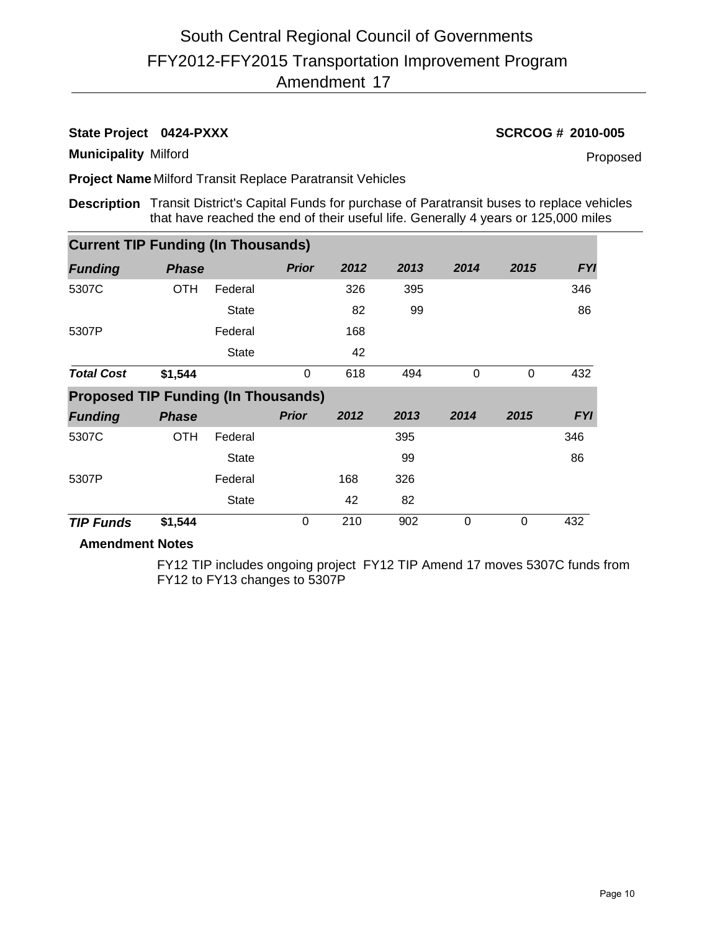# FFY2012-FFY2015 Transportation Improvement Program 17 Amendment South Central Regional Council of Governments

**State Project 0424-PXXX SCRCOG # 2010-005**

**Municipality** Milford

Proposed

**Project Name** Milford Transit Replace Paratransit Vehicles

**Description** Transit District's Capital Funds for purchase of Paratransit buses to replace vehicles that have reached the end of their useful life. Generally 4 years or 125,000 miles

| <b>Current TIP Funding (In Thousands)</b>                                      |              |              |              |      |      |          |          |            |
|--------------------------------------------------------------------------------|--------------|--------------|--------------|------|------|----------|----------|------------|
| <b>Funding</b>                                                                 | <b>Phase</b> |              | <b>Prior</b> | 2012 | 2013 | 2014     | 2015     | <b>FYI</b> |
| 5307C                                                                          | <b>OTH</b>   | Federal      |              | 326  | 395  |          |          | 346        |
|                                                                                |              | <b>State</b> |              | 82   | 99   |          |          | 86         |
| 5307P                                                                          |              | Federal      |              | 168  |      |          |          |            |
|                                                                                |              | <b>State</b> |              | 42   |      |          |          |            |
| <b>Total Cost</b>                                                              | \$1,544      |              | $\mathbf 0$  | 618  | 494  | $\Omega$ | $\Omega$ | 432        |
|                                                                                |              |              |              |      |      |          |          |            |
|                                                                                |              |              |              |      |      |          |          |            |
|                                                                                | <b>Phase</b> |              | <b>Prior</b> | 2012 | 2013 | 2014     | 2015     | <b>FYI</b> |
|                                                                                | <b>OTH</b>   | Federal      |              |      | 395  |          |          | 346        |
|                                                                                |              | <b>State</b> |              |      | 99   |          |          | 86         |
|                                                                                |              | Federal      |              | 168  | 326  |          |          |            |
| <b>Proposed TIP Funding (In Thousands)</b><br><b>Funding</b><br>5307C<br>5307P |              | <b>State</b> |              | 42   | 82   |          |          |            |

# **Amendment Notes**

FY12 TIP includes ongoing project FY12 TIP Amend 17 moves 5307C funds from FY12 to FY13 changes to 5307P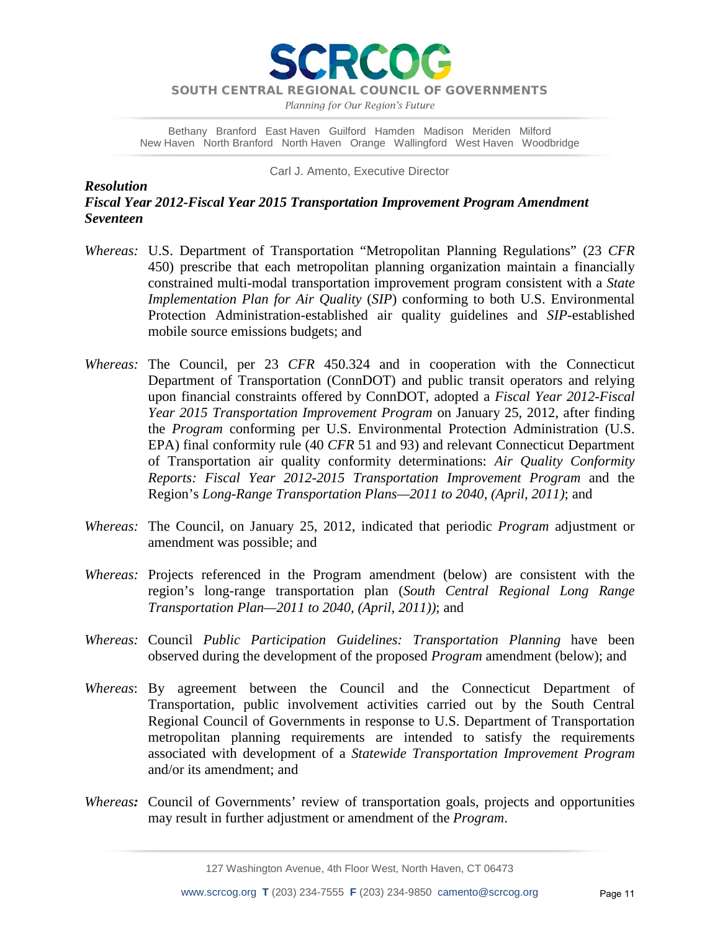**RCO** 

*Planning for Our Region's Future*

Bethany Branford East Haven Guilford Hamden Madison Meriden Milford New Haven North Branford North Haven Orange Wallingford West Haven Woodbridge

Carl J. Amento, Executive Director

*Resolution Fiscal Year 2012-Fiscal Year 2015 Transportation Improvement Program Amendment Seventeen*

- *Whereas:* U.S. Department of Transportation "Metropolitan Planning Regulations" (23 *CFR* 450) prescribe that each metropolitan planning organization maintain a financially constrained multi-modal transportation improvement program consistent with a *State Implementation Plan for Air Quality* (*SIP*) conforming to both U.S. Environmental Protection Administration-established air quality guidelines and *SIP*-established mobile source emissions budgets; and
- *Whereas:* The Council, per 23 *CFR* 450.324 and in cooperation with the Connecticut Department of Transportation (ConnDOT) and public transit operators and relying upon financial constraints offered by ConnDOT, adopted a *Fiscal Year 2012-Fiscal Year 2015 Transportation Improvement Program* on January 25, 2012, after finding the *Program* conforming per U.S. Environmental Protection Administration (U.S. EPA) final conformity rule (40 *CFR* 51 and 93) and relevant Connecticut Department of Transportation air quality conformity determinations: *Air Quality Conformity Reports: Fiscal Year 2012-2015 Transportation Improvement Program* and the Region's *Long-Range Transportation Plans—2011 to 2040, (April, 2011)*; and
- *Whereas:* The Council, on January 25, 2012, indicated that periodic *Program* adjustment or amendment was possible; and
- *Whereas:* Projects referenced in the Program amendment (below) are consistent with the region's long-range transportation plan (*South Central Regional Long Range Transportation Plan—2011 to 2040, (April, 2011))*; and
- *Whereas:* Council *Public Participation Guidelines: Transportation Planning* have been observed during the development of the proposed *Program* amendment (below); and
- *Whereas*: By agreement between the Council and the Connecticut Department of Transportation, public involvement activities carried out by the South Central Regional Council of Governments in response to U.S. Department of Transportation metropolitan planning requirements are intended to satisfy the requirements associated with development of a *Statewide Transportation Improvement Program* and/or its amendment; and
- *Whereas:* Council of Governments' review of transportation goals, projects and opportunities may result in further adjustment or amendment of the *Program*.

127 Washington Avenue, 4th Floor West, North Haven, CT 06473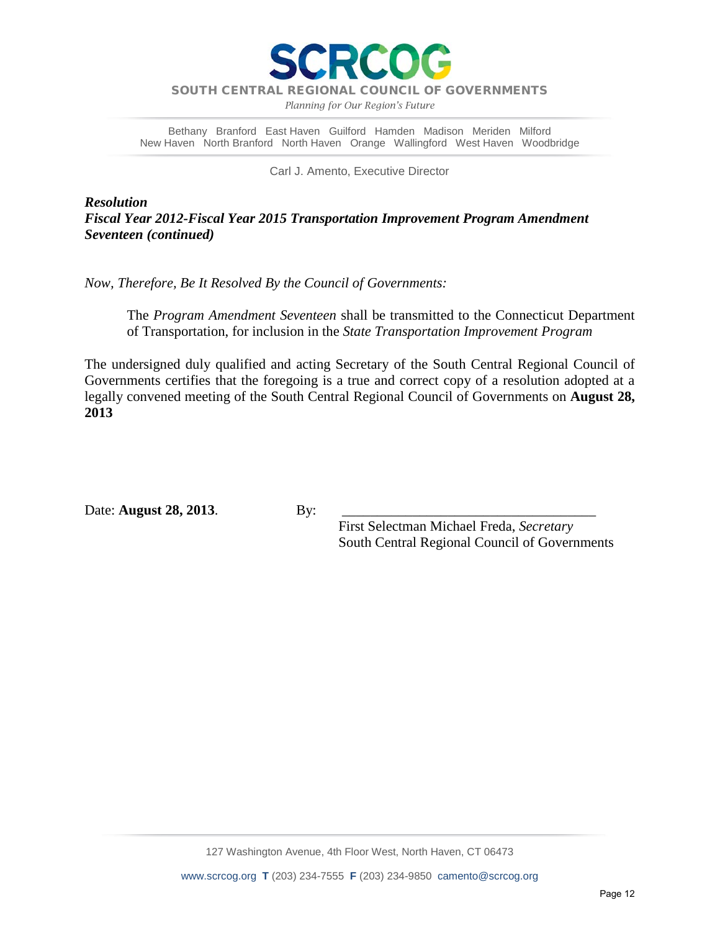

*Planning for Our Region's Future*

Bethany Branford East Haven Guilford Hamden Madison Meriden Milford New Haven North Branford North Haven Orange Wallingford West Haven Woodbridge

Carl J. Amento, Executive Director

*Resolution Fiscal Year 2012-Fiscal Year 2015 Transportation Improvement Program Amendment Seventeen (continued)*

*Now, Therefore, Be It Resolved By the Council of Governments:*

The *Program Amendment Seventeen* shall be transmitted to the Connecticut Department of Transportation, for inclusion in the *State Transportation Improvement Program*

The undersigned duly qualified and acting Secretary of the South Central Regional Council of Governments certifies that the foregoing is a true and correct copy of a resolution adopted at a legally convened meeting of the South Central Regional Council of Governments on **August 28, 2013**

Date: **August 28, 2013**. By:

 First Selectman Michael Freda, *Secretary* South Central Regional Council of Governments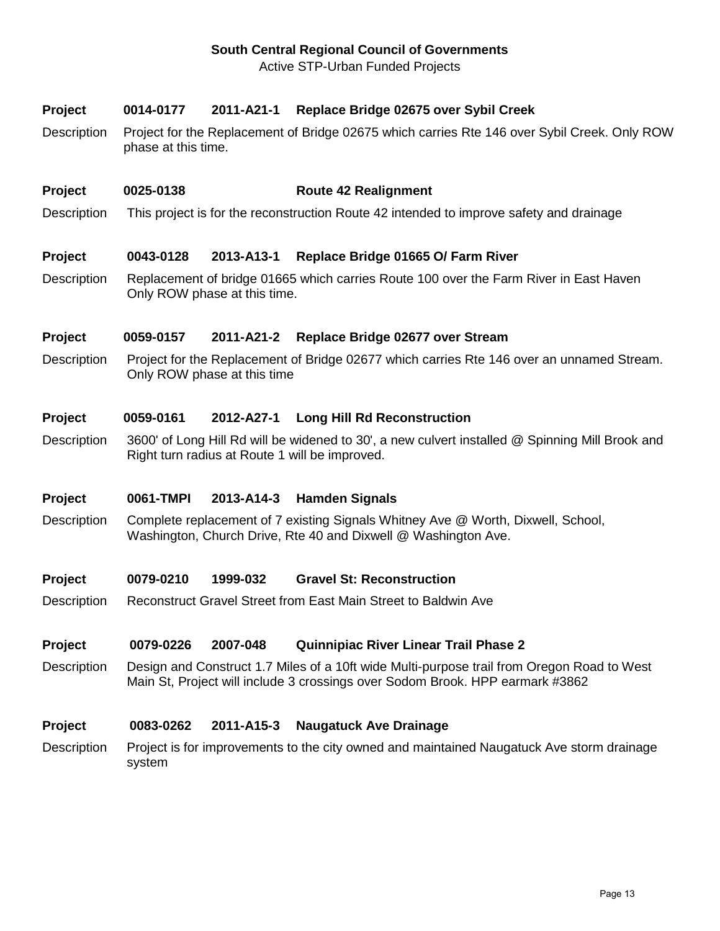# **South Central Regional Council of Governments**

Active STP-Urban Funded Projects

# **Project 0014-0177 2011-A21-1 Replace Bridge 02675 over Sybil Creek**

Description Project for the Replacement of Bridge 02675 which carries Rte 146 over Sybil Creek. Only ROW phase at this time.

### **Project 0025-0138 Route 42 Realignment**

Description This project is for the reconstruction Route 42 intended to improve safety and drainage

## **Project 0043-0128 2013-A13-1 Replace Bridge 01665 O/ Farm River**

Description Replacement of bridge 01665 which carries Route 100 over the Farm River in East Haven Only ROW phase at this time.

## **Project 0059-0157 2011-A21-2 Replace Bridge 02677 over Stream**

Description Project for the Replacement of Bridge 02677 which carries Rte 146 over an unnamed Stream. Only ROW phase at this time

### **Project 0059-0161 2012-A27-1 Long Hill Rd Reconstruction**

Description 3600' of Long Hill Rd will be widened to 30', a new culvert installed @ Spinning Mill Brook and Right turn radius at Route 1 will be improved.

### **Project 0061-TMPI 2013-A14-3 Hamden Signals**

Description Complete replacement of 7 existing Signals Whitney Ave @ Worth, Dixwell, School, Washington, Church Drive, Rte 40 and Dixwell @ Washington Ave.

### **Project 0079-0210 1999-032 Gravel St: Reconstruction**

Description Reconstruct Gravel Street from East Main Street to Baldwin Ave

### **Project 0079-0226 2007-048 Quinnipiac River Linear Trail Phase 2**

Description Design and Construct 1.7 Miles of a 10ft wide Multi-purpose trail from Oregon Road to West Main St, Project will include 3 crossings over Sodom Brook. HPP earmark #3862

### **Project 0083-0262 2011-A15-3 Naugatuck Ave Drainage**

Description Project is for improvements to the city owned and maintained Naugatuck Ave storm drainage system